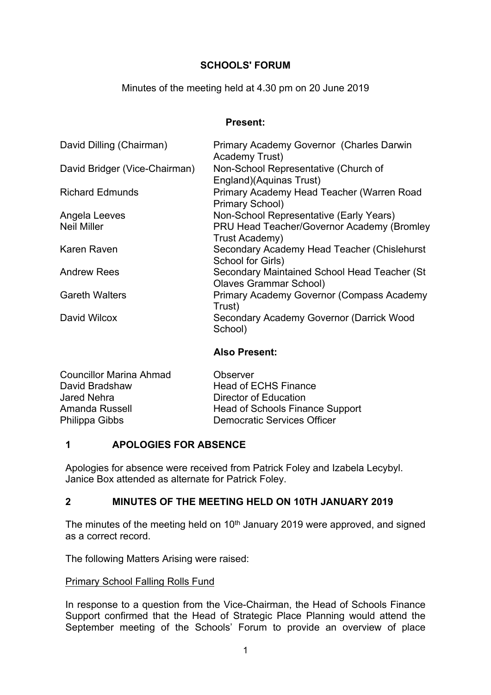# **SCHOOLS' FORUM**

### Minutes of the meeting held at 4.30 pm on 20 June 2019

#### **Present:**

| David Dilling (Chairman)      | Primary Academy Governor (Charles Darwin<br>Academy Trust)                    |
|-------------------------------|-------------------------------------------------------------------------------|
| David Bridger (Vice-Chairman) | Non-School Representative (Church of<br>England)(Aquinas Trust)               |
| <b>Richard Edmunds</b>        | Primary Academy Head Teacher (Warren Road<br>Primary School)                  |
| Angela Leeves                 | Non-School Representative (Early Years)                                       |
| <b>Neil Miller</b>            | PRU Head Teacher/Governor Academy (Bromley<br>Trust Academy)                  |
| Karen Raven                   | Secondary Academy Head Teacher (Chislehurst<br>School for Girls)              |
| <b>Andrew Rees</b>            | Secondary Maintained School Head Teacher (St<br><b>Olaves Grammar School)</b> |
| <b>Gareth Walters</b>         | Primary Academy Governor (Compass Academy<br>Trust)                           |
| David Wilcox                  | Secondary Academy Governor (Darrick Wood<br>School)                           |

### **Also Present:**

| <b>Councillor Marina Ahmad</b> | Observer                               |
|--------------------------------|----------------------------------------|
| David Bradshaw                 | <b>Head of ECHS Finance</b>            |
| Jared Nehra                    | Director of Education                  |
| Amanda Russell                 | <b>Head of Schools Finance Support</b> |
| Philippa Gibbs                 | Democratic Services Officer            |
|                                |                                        |

# **1 APOLOGIES FOR ABSENCE**

Apologies for absence were received from Patrick Foley and Izabela Lecybyl. Janice Box attended as alternate for Patrick Foley.

# **2 MINUTES OF THE MEETING HELD ON 10TH JANUARY 2019**

The minutes of the meeting held on  $10<sup>th</sup>$  January 2019 were approved, and signed as a correct record.

The following Matters Arising were raised:

### Primary School Falling Rolls Fund

In response to a question from the Vice-Chairman, the Head of Schools Finance Support confirmed that the Head of Strategic Place Planning would attend the September meeting of the Schools' Forum to provide an overview of place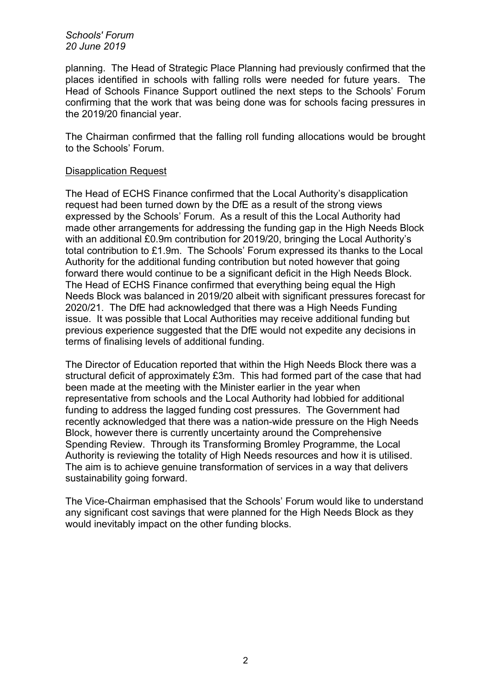*Schools' Forum 20 June 2019*

planning. The Head of Strategic Place Planning had previously confirmed that the places identified in schools with falling rolls were needed for future years. The Head of Schools Finance Support outlined the next steps to the Schools' Forum confirming that the work that was being done was for schools facing pressures in the 2019/20 financial year.

The Chairman confirmed that the falling roll funding allocations would be brought to the Schools' Forum.

### Disapplication Request

The Head of ECHS Finance confirmed that the Local Authority's disapplication request had been turned down by the DfE as a result of the strong views expressed by the Schools' Forum. As a result of this the Local Authority had made other arrangements for addressing the funding gap in the High Needs Block with an additional £0.9m contribution for 2019/20, bringing the Local Authority's total contribution to £1.9m. The Schools' Forum expressed its thanks to the Local Authority for the additional funding contribution but noted however that going forward there would continue to be a significant deficit in the High Needs Block. The Head of ECHS Finance confirmed that everything being equal the High Needs Block was balanced in 2019/20 albeit with significant pressures forecast for 2020/21. The DfE had acknowledged that there was a High Needs Funding issue. It was possible that Local Authorities may receive additional funding but previous experience suggested that the DfE would not expedite any decisions in terms of finalising levels of additional funding.

The Director of Education reported that within the High Needs Block there was a structural deficit of approximately £3m. This had formed part of the case that had been made at the meeting with the Minister earlier in the year when representative from schools and the Local Authority had lobbied for additional funding to address the lagged funding cost pressures. The Government had recently acknowledged that there was a nation-wide pressure on the High Needs Block, however there is currently uncertainty around the Comprehensive Spending Review. Through its Transforming Bromley Programme, the Local Authority is reviewing the totality of High Needs resources and how it is utilised. The aim is to achieve genuine transformation of services in a way that delivers sustainability going forward.

The Vice-Chairman emphasised that the Schools' Forum would like to understand any significant cost savings that were planned for the High Needs Block as they would inevitably impact on the other funding blocks.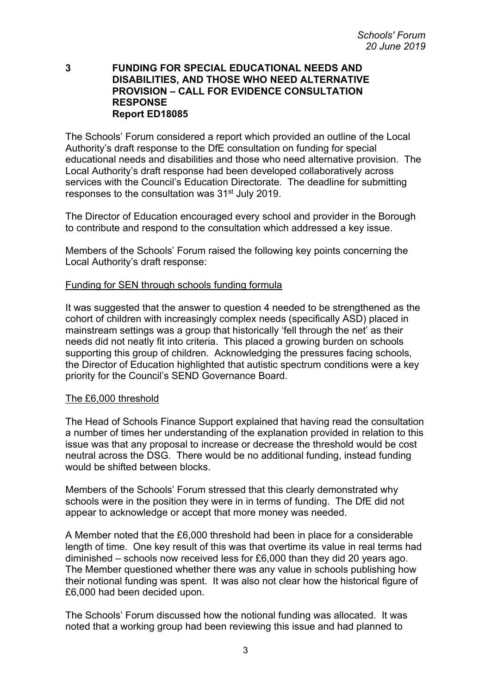#### **3 FUNDING FOR SPECIAL EDUCATIONAL NEEDS AND DISABILITIES, AND THOSE WHO NEED ALTERNATIVE PROVISION – CALL FOR EVIDENCE CONSULTATION RESPONSE Report ED18085**

The Schools' Forum considered a report which provided an outline of the Local Authority's draft response to the DfE consultation on funding for special educational needs and disabilities and those who need alternative provision. The Local Authority's draft response had been developed collaboratively across services with the Council's Education Directorate. The deadline for submitting responses to the consultation was 31st July 2019.

The Director of Education encouraged every school and provider in the Borough to contribute and respond to the consultation which addressed a key issue.

Members of the Schools' Forum raised the following key points concerning the Local Authority's draft response:

### Funding for SEN through schools funding formula

It was suggested that the answer to question 4 needed to be strengthened as the cohort of children with increasingly complex needs (specifically ASD) placed in mainstream settings was a group that historically 'fell through the net' as their needs did not neatly fit into criteria. This placed a growing burden on schools supporting this group of children. Acknowledging the pressures facing schools, the Director of Education highlighted that autistic spectrum conditions were a key priority for the Council's SEND Governance Board.

### The £6,000 threshold

The Head of Schools Finance Support explained that having read the consultation a number of times her understanding of the explanation provided in relation to this issue was that any proposal to increase or decrease the threshold would be cost neutral across the DSG. There would be no additional funding, instead funding would be shifted between blocks.

Members of the Schools' Forum stressed that this clearly demonstrated why schools were in the position they were in in terms of funding. The DfE did not appear to acknowledge or accept that more money was needed.

A Member noted that the £6,000 threshold had been in place for a considerable length of time. One key result of this was that overtime its value in real terms had diminished – schools now received less for £6,000 than they did 20 years ago. The Member questioned whether there was any value in schools publishing how their notional funding was spent. It was also not clear how the historical figure of £6,000 had been decided upon.

The Schools' Forum discussed how the notional funding was allocated. It was noted that a working group had been reviewing this issue and had planned to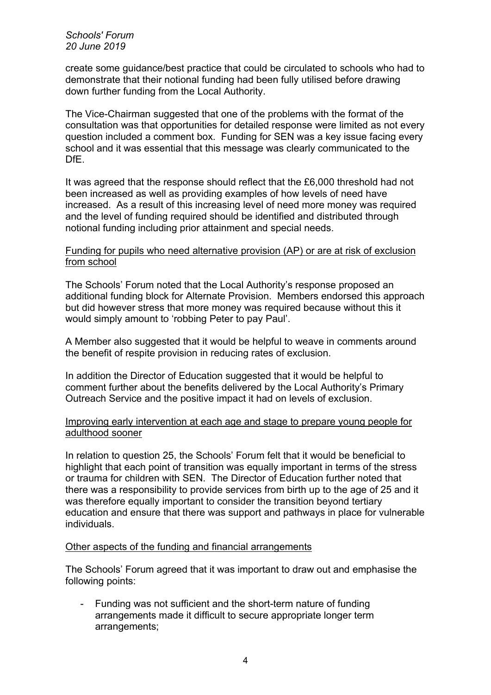*Schools' Forum 20 June 2019*

create some guidance/best practice that could be circulated to schools who had to demonstrate that their notional funding had been fully utilised before drawing down further funding from the Local Authority.

The Vice-Chairman suggested that one of the problems with the format of the consultation was that opportunities for detailed response were limited as not every question included a comment box. Funding for SEN was a key issue facing every school and it was essential that this message was clearly communicated to the DfE.

It was agreed that the response should reflect that the £6,000 threshold had not been increased as well as providing examples of how levels of need have increased. As a result of this increasing level of need more money was required and the level of funding required should be identified and distributed through notional funding including prior attainment and special needs.

#### Funding for pupils who need alternative provision (AP) or are at risk of exclusion from school

The Schools' Forum noted that the Local Authority's response proposed an additional funding block for Alternate Provision. Members endorsed this approach but did however stress that more money was required because without this it would simply amount to 'robbing Peter to pay Paul'.

A Member also suggested that it would be helpful to weave in comments around the benefit of respite provision in reducing rates of exclusion.

In addition the Director of Education suggested that it would be helpful to comment further about the benefits delivered by the Local Authority's Primary Outreach Service and the positive impact it had on levels of exclusion.

Improving early intervention at each age and stage to prepare young people for adulthood sooner

In relation to question 25, the Schools' Forum felt that it would be beneficial to highlight that each point of transition was equally important in terms of the stress or trauma for children with SEN. The Director of Education further noted that there was a responsibility to provide services from birth up to the age of 25 and it was therefore equally important to consider the transition beyond tertiary education and ensure that there was support and pathways in place for vulnerable individuals.

### Other aspects of the funding and financial arrangements

The Schools' Forum agreed that it was important to draw out and emphasise the following points:

- Funding was not sufficient and the short-term nature of funding arrangements made it difficult to secure appropriate longer term arrangements;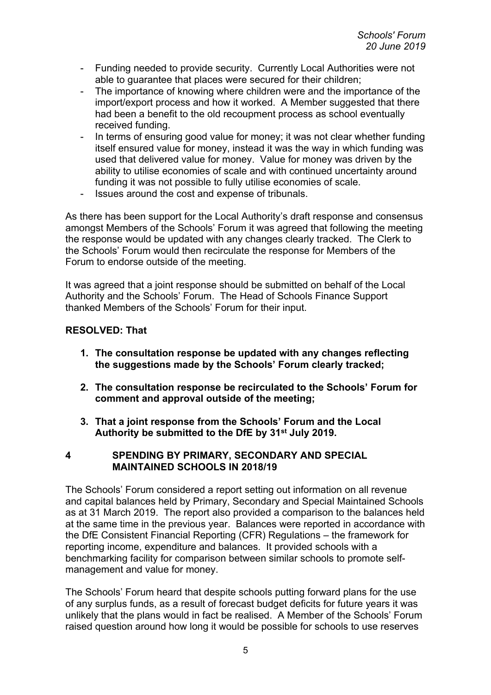- Funding needed to provide security. Currently Local Authorities were not able to quarantee that places were secured for their children;
- The importance of knowing where children were and the importance of the import/export process and how it worked. A Member suggested that there had been a benefit to the old recoupment process as school eventually received funding.
- In terms of ensuring good value for money; it was not clear whether funding itself ensured value for money, instead it was the way in which funding was used that delivered value for money. Value for money was driven by the ability to utilise economies of scale and with continued uncertainty around funding it was not possible to fully utilise economies of scale.
- Issues around the cost and expense of tribunals.

As there has been support for the Local Authority's draft response and consensus amongst Members of the Schools' Forum it was agreed that following the meeting the response would be updated with any changes clearly tracked. The Clerk to the Schools' Forum would then recirculate the response for Members of the Forum to endorse outside of the meeting.

It was agreed that a joint response should be submitted on behalf of the Local Authority and the Schools' Forum. The Head of Schools Finance Support thanked Members of the Schools' Forum for their input.

### **RESOLVED: That**

- **1. The consultation response be updated with any changes reflecting the suggestions made by the Schools' Forum clearly tracked;**
- **2. The consultation response be recirculated to the Schools' Forum for comment and approval outside of the meeting;**
- **3. That a joint response from the Schools' Forum and the Local Authority be submitted to the DfE by 31st July 2019.**

### **4 SPENDING BY PRIMARY, SECONDARY AND SPECIAL MAINTAINED SCHOOLS IN 2018/19**

The Schools' Forum considered a report setting out information on all revenue and capital balances held by Primary, Secondary and Special Maintained Schools as at 31 March 2019. The report also provided a comparison to the balances held at the same time in the previous year. Balances were reported in accordance with the DfE Consistent Financial Reporting (CFR) Regulations – the framework for reporting income, expenditure and balances. It provided schools with a benchmarking facility for comparison between similar schools to promote selfmanagement and value for money.

The Schools' Forum heard that despite schools putting forward plans for the use of any surplus funds, as a result of forecast budget deficits for future years it was unlikely that the plans would in fact be realised. A Member of the Schools' Forum raised question around how long it would be possible for schools to use reserves